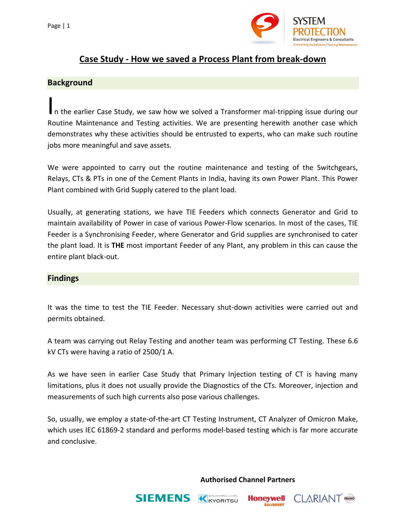

# **Case Study - How we saved a Process Plant from break-down**

### **Background**

In the earlier Case Study, we saw how we solved a Transformer mal-tripping issue during our Routine Maintenance and Testing activities. We are presenting herewith another case which demonstrates why these activities should be entrusted to experts, who can make such routine jobs more meaningful and save assets.

We were appointed to carry out the routine maintenance and testing of the Switchgears, Relays, CTs & PTs in one of the Cement Plants in India, having its own Power Plant. This Power Plant combined with Grid Supply catered to the plant load.

Usually, at generating stations, we have TIE Feeders which connects Generator and Grid to maintain availability of Power in case of various Power-Flow scenarios. In most of the cases, TIE Feeder is a Synchronising Feeder, where Generator and Grid supplies are synchronised to cater the plant load. It is **THE** most important Feeder of any Plant, any problem in this can cause the entire plant black-out.

# **Findings**

It was the time to test the TIE Feeder. Necessary shut-down activities were carried out and permits obtained.

A team was carrying out Relay Testing and another team was performing CT Testing. These 6.6 kV CTs were having a ratio of 2500/1 A.

As we have seen in earlier Case Study that Primary Injection testing of CT is having many limitations, plus it does not usually provide the Diagnostics of the CTs. Moreover, injection and measurements of such high currents also pose various challenges.

So, usually, we employ a state-of-the-art CT Testing Instrument, CT Analyzer of Omicron Make, which uses IEC 61869-2 standard and performs model-based testing which is far more accurate and conclusive.

**Authorised Channel Partners**

**Honeywell SALISBURY** 

**CLARIANT** FRAKO



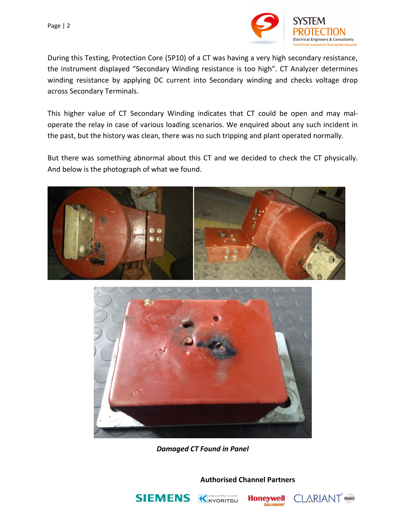

During this Testing, Protection Core (5P10) of a CT was having a very high secondary resistance, the instrument displayed "Secondary Winding resistance is too high". CT Analyzer determines winding resistance by applying DC current into Secondary winding and checks voltage drop across Secondary Terminals.

This higher value of CT Secondary Winding indicates that CT could be open and may maloperate the relay in case of various loading scenarios. We enquired about any such incident in the past, but the history was clean, there was no such tripping and plant operated normally.

But there was something abnormal about this CT and we decided to check the CT physically. And below is the photograph of what we found.





*Damaged CT Found in Panel*

**Authorised Channel Partners**





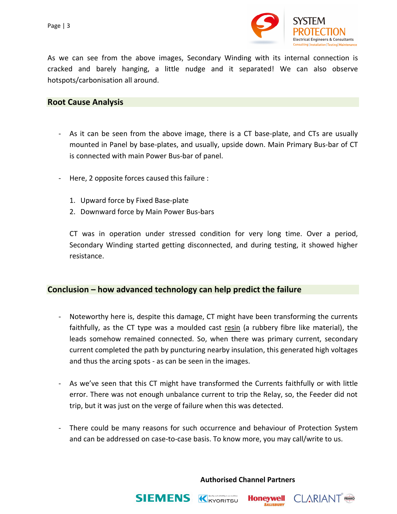Page | 3



As we can see from the above images, Secondary Winding with its internal connection is cracked and barely hanging, a little nudge and it separated! We can also observe hotspots/carbonisation all around.

### **Root Cause Analysis**

- As it can be seen from the above image, there is a CT base-plate, and CTs are usually mounted in Panel by base-plates, and usually, upside down. Main Primary Bus-bar of CT is connected with main Power Bus-bar of panel.
- Here, 2 opposite forces caused this failure :
	- 1. Upward force by Fixed Base-plate
	- 2. Downward force by Main Power Bus-bars

CT was in operation under stressed condition for very long time. Over a period, Secondary Winding started getting disconnected, and during testing, it showed higher resistance.

# **Conclusion – how advanced technology can help predict the failure**

- Noteworthy here is, despite this damage, CT might have been transforming the currents faithfully, as the CT type was a moulded cast resin (a rubbery fibre like material), the leads somehow remained connected. So, when there was primary current, secondary current completed the path by puncturing nearby insulation, this generated high voltages and thus the arcing spots - as can be seen in the images.
- As we've seen that this CT might have transformed the Currents faithfully or with little error. There was not enough unbalance current to trip the Relay, so, the Feeder did not trip, but it was just on the verge of failure when this was detected.
- There could be many reasons for such occurrence and behaviour of Protection System and can be addressed on case-to-case basis. To know more, you may call/write to us.

**Authorised Channel Partners**

**Honeywell SALISBURY** 

**CLARIANT** FRAKO